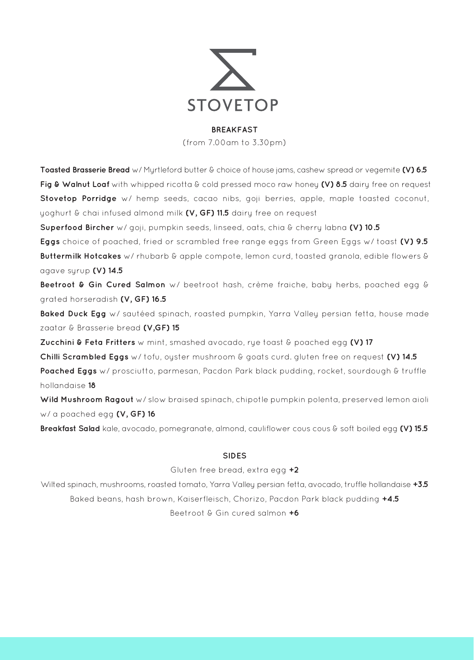

#### **BREAKFAST**

(from 7.00am to 3.30pm)

**Toasted Brasserie Bread** w/ Myrtleford butter & choice of house jams, cashew spread or vegemite **(V) 6.5 Fig & Walnut Loaf** with whipped ricotta & cold pressed moco raw honey **(V) 8.5** dairy free on request **Stovetop Porridge** w/ hemp seeds, cacao nibs, goji berries, apple, maple toasted coconut, yoghurt & chai infused almond milk **(V, GF) 11.5** dairy free on request **Superfood Bircher** w/ goji, pumpkin seeds, linseed, oats, chia & cherry labna **(V) 10.5 Eggs** choice of poached, fried or scrambled free range eggs from Green Eggs w/ toast **(V) 9.5 Buttermilk Hotcakes** w/ rhubarb & apple compote, lemon curd, toasted granola, edible flowers & agave syrup **(V) 14.5 Beetroot & Gin Cured Salmon** w/ beetroot hash, crème fraiche, baby herbs, poached egg & grated horseradish **(V, GF) 16.5** Baked Duck Egg w/ sautéed spinach, roasted pumpkin, Yarra Valley persian fetta, house made zaatar & Brasserie bread **(V,GF) 15 Zucchini & Feta Fritters** w mint, smashed avocado, rye toast & poached egg **(V) 17 Chilli Scrambled Eggs** w/ tofu, oyster mushroom & goats curd. gluten free on request **(V) 14.5 Poached Eggs** w/ prosciutto, parmesan, Pacdon Park black pudding, rocket, sourdough & truffle hollandaise **18 Wild Mushroom Ragout** w/ slow braised spinach, chipotle pumpkin polenta, preserved lemon aioli w/ a poached egg **(V, GF) 16 Breakfast Salad** kale, avocado, pomegranate, almond, cauliflower cous cous & soft boiled egg **(V) 15.5 SIDES** Gluten free bread, extra egg **+2** Wilted spinach, mushrooms, roasted tomato, Yarra Valley persian fetta, avocado, truffle hollandaise **+3.5** Baked beans, hash brown, Kaiserfleisch, Chorizo, Pacdon Park black pudding **+4.5**

Beetroot & Gin cured salmon **+6**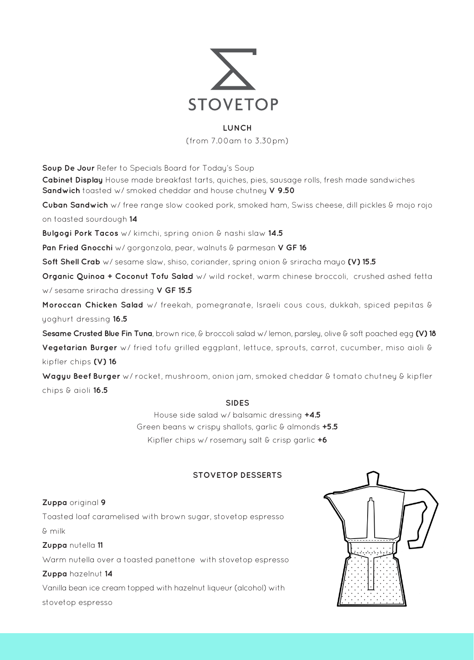

#### **LUNCH**

(from 7.00am to 3.30pm)

**Soup De Jour** Refer to Specials Board for Today's Soup **Cabinet Display** House made breakfast tarts, quiches, pies, sausage rolls, fresh made sandwiches **Sandwich** toasted w/ smoked cheddar and house chutney **V 9.50 Cuban Sandwich** w/ free range slow cooked pork, smoked ham, Swiss cheese, dill pickles & mojo rojo on toasted sourdough **14 Bulgogi Pork Tacos** w/ kimchi, spring onion & nashi slaw **14.5 Pan Fried Gnocchi** w/ gorgonzola, pear, walnuts & parmesan **V GF 16 Soft Shell Crab** w/ sesame slaw, shiso, coriander, spring onion & sriracha mayo **(V) 15.5 Organic Quinoa + Coconut Tofu Salad** w/ wild rocket, warm chinese broccoli, crushed ashed fetta w/ sesame sriracha dressing **V GF 15.5 Moroccan Chicken Salad** w/ freekah, pomegranate, Israeli cous cous, dukkah, spiced pepitas & yoghurt dressing **16.5 Sesame Crusted Blue Fin Tuna**, brown rice, & broccoli salad w/ lemon, parsley, olive & soft poached egg **(V) 18 Vegetarian Burger** w/ fried tofu grilled eggplant, lettuce, sprouts, carrot, cucumber, miso aioli & kipfler chips **(V) 16 Wagyu Beef Burger** w/ rocket, mushroom, onion jam, smoked cheddar & tomato chutney & kipfler

chips & aioli **16.5**

### **SIDES**

House side salad w/ balsamic dressing **+4.5** Green beans w crispy shallots, garlic & almonds **+5.5** Kipfler chips w/ rosemary salt & crisp garlic **+6**

# **STOVETOP DESSERTS**

# **Zuppa** original **9**

Toasted loaf caramelised with brown sugar, stovetop espresso & milk

**Zuppa** nutella **11**

Warm nutella over a toasted panettone with stovetop espresso

### **Zuppa** hazelnut **14**

Vanilla bean ice cream topped with hazelnut liqueur (alcohol) with stovetop espresso